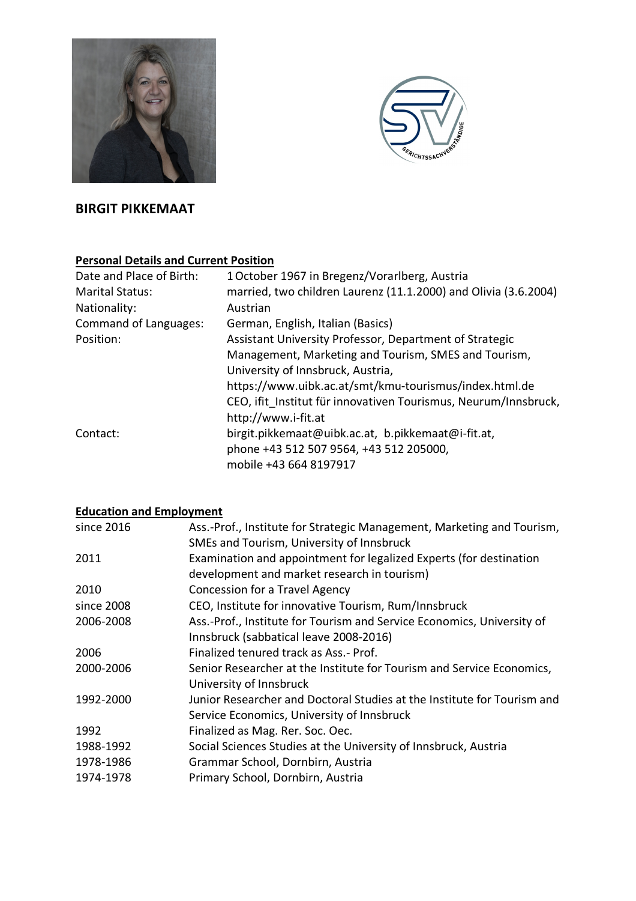



# **BIRGIT PIKKEMAAT**

# **Personal Details and Current Position**

| Date and Place of Birth:     | 1 October 1967 in Bregenz/Vorarlberg, Austria                   |
|------------------------------|-----------------------------------------------------------------|
| <b>Marital Status:</b>       | married, two children Laurenz (11.1.2000) and Olivia (3.6.2004) |
| Nationality:                 | Austrian                                                        |
| <b>Command of Languages:</b> | German, English, Italian (Basics)                               |
| Position:                    | Assistant University Professor, Department of Strategic         |
|                              | Management, Marketing and Tourism, SMES and Tourism,            |
|                              | University of Innsbruck, Austria,                               |
|                              | https://www.uibk.ac.at/smt/kmu-tourismus/index.html.de          |
|                              | CEO, ifit Institut für innovativen Tourismus, Neurum/Innsbruck, |
|                              | http://www.i-fit.at                                             |
| Contact:                     | birgit.pikkemaat@uibk.ac.at, b.pikkemaat@i-fit.at,              |
|                              | phone +43 512 507 9564, +43 512 205000,                         |
|                              | mobile +43 664 8197917                                          |

# **Education and Employment**

| since 2016 | Ass.-Prof., Institute for Strategic Management, Marketing and Tourism,  |
|------------|-------------------------------------------------------------------------|
|            | SMEs and Tourism, University of Innsbruck                               |
| 2011       | Examination and appointment for legalized Experts (for destination      |
|            | development and market research in tourism)                             |
| 2010       | Concession for a Travel Agency                                          |
| since 2008 | CEO, Institute for innovative Tourism, Rum/Innsbruck                    |
| 2006-2008  | Ass.-Prof., Institute for Tourism and Service Economics, University of  |
|            | Innsbruck (sabbatical leave 2008-2016)                                  |
| 2006       | Finalized tenured track as Ass.- Prof.                                  |
| 2000-2006  | Senior Researcher at the Institute for Tourism and Service Economics,   |
|            | University of Innsbruck                                                 |
| 1992-2000  | Junior Researcher and Doctoral Studies at the Institute for Tourism and |
|            | Service Economics, University of Innsbruck                              |
| 1992       | Finalized as Mag. Rer. Soc. Oec.                                        |
| 1988-1992  | Social Sciences Studies at the University of Innsbruck, Austria         |
| 1978-1986  | Grammar School, Dornbirn, Austria                                       |
| 1974-1978  | Primary School, Dornbirn, Austria                                       |
|            |                                                                         |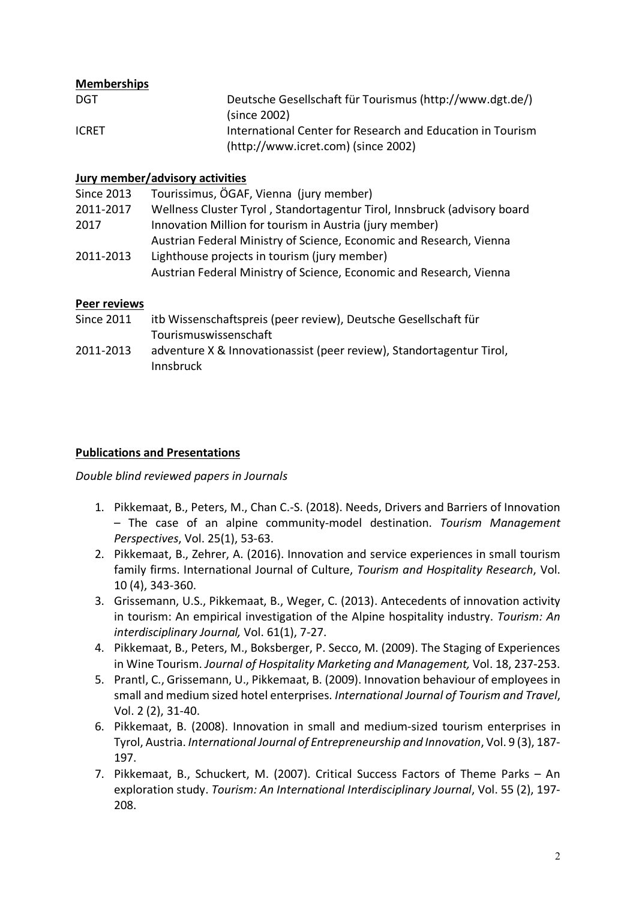### **Memberships**

| DGT          | Deutsche Gesellschaft für Tourismus (http://www.dgt.de/)   |
|--------------|------------------------------------------------------------|
|              | (since 2002)                                               |
| <b>ICRET</b> | International Center for Research and Education in Tourism |
|              | (http://www.icret.com) (since 2002)                        |

#### **Jury member/advisory activities**

| <b>Since 2013</b> | Tourissimus, ÖGAF, Vienna (jury member)                                  |
|-------------------|--------------------------------------------------------------------------|
| 2011-2017         | Wellness Cluster Tyrol, Standortagentur Tirol, Innsbruck (advisory board |
| 2017              | Innovation Million for tourism in Austria (jury member)                  |
|                   | Austrian Federal Ministry of Science, Economic and Research, Vienna      |
| 2011-2013         | Lighthouse projects in tourism (jury member)                             |
|                   | Austrian Federal Ministry of Science, Economic and Research, Vienna      |

#### **Peer reviews**

- Since 2011 itb Wissenschaftspreis (peer review), Deutsche Gesellschaft für Tourismuswissenschaft
- 2011-2013 adventure X & Innovationassist (peer review), Standortagentur Tirol, Innsbruck

### **Publications and Presentations**

*Double blind reviewed papers in Journals*

- 1. Pikkemaat, B., Peters, M., Chan C.-S. (2018). Needs, Drivers and Barriers of Innovation – The case of an alpine community-model destination. *Tourism Management Perspectives*, Vol. 25(1), 53-63.
- 2. Pikkemaat, B., Zehrer, A. (2016). Innovation and service experiences in small tourism family firms. International Journal of Culture, *Tourism and Hospitality Research*, Vol. 10 (4), 343-360.
- 3. Grissemann, U.S., Pikkemaat, B., Weger, C. (2013). Antecedents of innovation activity in tourism: An empirical investigation of the Alpine hospitality industry. *Tourism: An interdisciplinary Journal,* Vol. 61(1), 7-27.
- 4. Pikkemaat, B., Peters, M., Boksberger, P. Secco, M. (2009). The Staging of Experiences in Wine Tourism. *Journal of Hospitality Marketing and Management,* Vol. 18, 237-253.
- 5. Prantl, C., Grissemann, U., Pikkemaat, B. (2009). Innovation behaviour of employees in small and medium sized hotel enterprises. *International Journal of Tourism and Travel*, Vol. 2 (2), 31-40.
- 6. Pikkemaat, B. (2008). Innovation in small and medium-sized tourism enterprises in Tyrol, Austria. *International Journal of Entrepreneurship and Innovation*, Vol. 9 (3), 187- 197.
- 7. Pikkemaat, B., Schuckert, M. (2007). Critical Success Factors of Theme Parks An exploration study. *Tourism: An International Interdisciplinary Journal*, Vol. 55 (2), 197- 208.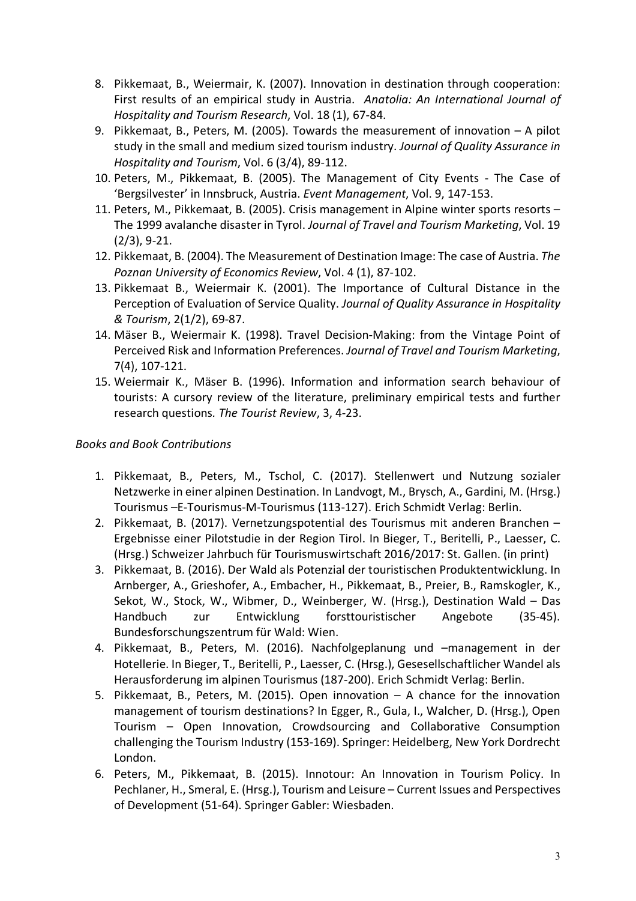- 8. Pikkemaat, B., Weiermair, K. (2007). Innovation in destination through cooperation: First results of an empirical study in Austria. *Anatolia: An International Journal of Hospitality and Tourism Research*, Vol. 18 (1), 67-84.
- 9. Pikkemaat, B., Peters, M. (2005). Towards the measurement of innovation A pilot study in the small and medium sized tourism industry. *Journal of Quality Assurance in Hospitality and Tourism*, Vol. 6 (3/4), 89-112.
- 10. Peters, M., Pikkemaat, B. (2005). The Management of City Events The Case of 'Bergsilvester' in Innsbruck, Austria. *Event Management*, Vol. 9, 147-153.
- 11. Peters, M., Pikkemaat, B. (2005). Crisis management in Alpine winter sports resorts The 1999 avalanche disaster in Tyrol. *Journal of Travel and Tourism Marketing*, Vol. 19 (2/3), 9-21.
- 12. Pikkemaat, B. (2004). The Measurement of Destination Image: The case of Austria. *The Poznan University of Economics Review*, Vol. 4 (1), 87-102.
- 13. Pikkemaat B., Weiermair K. (2001). The Importance of Cultural Distance in the Perception of Evaluation of Service Quality. *Journal of Quality Assurance in Hospitality & Tourism*, 2(1/2), 69-87.
- 14. Mäser B., Weiermair K. (1998). Travel Decision-Making: from the Vintage Point of Perceived Risk and Information Preferences. *Journal of Travel and Tourism Marketing*, 7(4), 107-121.
- 15. Weiermair K., Mäser B. (1996). Information and information search behaviour of tourists: A cursory review of the literature, preliminary empirical tests and further research questions*. The Tourist Review*, 3, 4-23.

### *Books and Book Contributions*

- 1. Pikkemaat, B., Peters, M., Tschol, C. (2017). Stellenwert und Nutzung sozialer Netzwerke in einer alpinen Destination. In Landvogt, M., Brysch, A., Gardini, M. (Hrsg.) Tourismus –E-Tourismus-M-Tourismus (113-127). Erich Schmidt Verlag: Berlin.
- 2. Pikkemaat, B. (2017). Vernetzungspotential des Tourismus mit anderen Branchen Ergebnisse einer Pilotstudie in der Region Tirol. In Bieger, T., Beritelli, P., Laesser, C. (Hrsg.) Schweizer Jahrbuch für Tourismuswirtschaft 2016/2017: St. Gallen. (in print)
- 3. Pikkemaat, B. (2016). Der Wald als Potenzial der touristischen Produktentwicklung. In Arnberger, A., Grieshofer, A., Embacher, H., Pikkemaat, B., Preier, B., Ramskogler, K., Sekot, W., Stock, W., Wibmer, D., Weinberger, W. (Hrsg.), Destination Wald – Das Handbuch zur Entwicklung forsttouristischer Angebote (35-45). Bundesforschungszentrum für Wald: Wien.
- 4. Pikkemaat, B., Peters, M. (2016). Nachfolgeplanung und –management in der Hotellerie. In Bieger, T., Beritelli, P., Laesser, C. (Hrsg.), Gesesellschaftlicher Wandel als Herausforderung im alpinen Tourismus (187-200). Erich Schmidt Verlag: Berlin.
- 5. Pikkemaat, B., Peters, M. (2015). Open innovation A chance for the innovation management of tourism destinations? In Egger, R., Gula, I., Walcher, D. (Hrsg.), Open Tourism – Open Innovation, Crowdsourcing and Collaborative Consumption challenging the Tourism Industry (153-169). Springer: Heidelberg, New York Dordrecht London.
- 6. Peters, M., Pikkemaat, B. (2015). Innotour: An Innovation in Tourism Policy. In Pechlaner, H., Smeral, E. (Hrsg.), Tourism and Leisure – Current Issues and Perspectives of Development (51-64). Springer Gabler: Wiesbaden.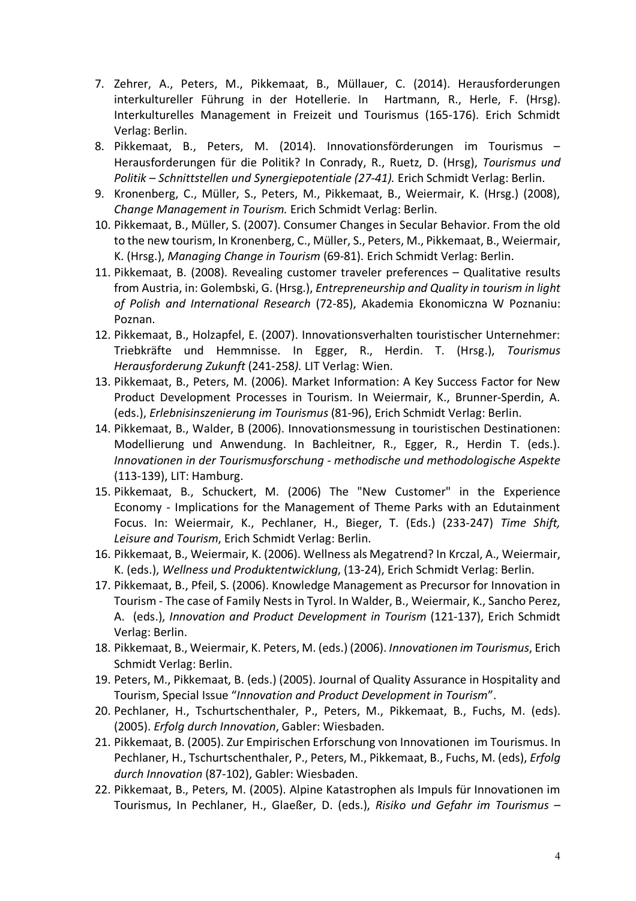- 7. Zehrer, A., Peters, M., Pikkemaat, B., Müllauer, C. (2014). Herausforderungen interkultureller Führung in der Hotellerie. In Hartmann, R., Herle, F. (Hrsg). Interkulturelles Management in Freizeit und Tourismus (165-176). Erich Schmidt Verlag: Berlin.
- 8. Pikkemaat, B., Peters, M. (2014). Innovationsförderungen im Tourismus Herausforderungen für die Politik? In Conrady, R., Ruetz, D. (Hrsg), *Tourismus und Politik – Schnittstellen und Synergiepotentiale (27-41).* Erich Schmidt Verlag: Berlin.
- 9. Kronenberg, C., Müller, S., Peters, M., Pikkemaat, B., Weiermair, K. (Hrsg.) (2008), *Change Management in Tourism.* Erich Schmidt Verlag: Berlin.
- 10. Pikkemaat, B., Müller, S. (2007). Consumer Changes in Secular Behavior. From the old to the new tourism, In Kronenberg, C., Müller, S., Peters, M., Pikkemaat, B., Weiermair, K. (Hrsg.), *Managing Change in Tourism* (69-81). Erich Schmidt Verlag: Berlin.
- 11. Pikkemaat, B. (2008). Revealing customer traveler preferences Qualitative results from Austria, in: Golembski, G. (Hrsg.), *Entrepreneurship and Quality in tourism in light of Polish and International Research* (72-85), Akademia Ekonomiczna W Poznaniu: Poznan.
- 12. Pikkemaat, B., Holzapfel, E. (2007). Innovationsverhalten touristischer Unternehmer: Triebkräfte und Hemmnisse. In Egger, R., Herdin. T. (Hrsg.), *Tourismus Herausforderung Zukunft* (241-258*).* LIT Verlag: Wien.
- 13. Pikkemaat, B., Peters, M. (2006). Market Information: A Key Success Factor for New Product Development Processes in Tourism. In Weiermair, K., Brunner-Sperdin, A. (eds.), *Erlebnisinszenierung im Tourismus* (81-96), Erich Schmidt Verlag: Berlin.
- 14. Pikkemaat, B., Walder, B (2006). Innovationsmessung in touristischen Destinationen: Modellierung und Anwendung. In Bachleitner, R., Egger, R., Herdin T. (eds.). *Innovationen in der Tourismusforschung - methodische und methodologische Aspekte* (113-139), LIT: Hamburg.
- 15. Pikkemaat, B., Schuckert, M. (2006) The "New Customer" in the Experience Economy - Implications for the Management of Theme Parks with an Edutainment Focus. In: Weiermair, K., Pechlaner, H., Bieger, T. (Eds.) (233-247) *Time Shift, Leisure and Tourism*, Erich Schmidt Verlag: Berlin.
- 16. Pikkemaat, B., Weiermair, K. (2006). Wellness als Megatrend? In Krczal, A., Weiermair, K. (eds.), *Wellness und Produktentwicklung*, (13-24), Erich Schmidt Verlag: Berlin.
- 17. Pikkemaat, B., Pfeil, S. (2006). Knowledge Management as Precursor for Innovation in Tourism - The case of Family Nests in Tyrol. In Walder, B., Weiermair, K., Sancho Perez, A. (eds.), *Innovation and Product Development in Tourism* (121-137), Erich Schmidt Verlag: Berlin.
- 18. Pikkemaat, B., Weiermair, K. Peters, M. (eds.) (2006). *Innovationen im Tourismus*, Erich Schmidt Verlag: Berlin.
- 19. Peters, M., Pikkemaat, B. (eds.) (2005). Journal of Quality Assurance in Hospitality and Tourism, Special Issue "*Innovation and Product Development in Tourism*".
- 20. Pechlaner, H., Tschurtschenthaler, P., Peters, M., Pikkemaat, B., Fuchs, M. (eds). (2005). *Erfolg durch Innovation*, Gabler: Wiesbaden.
- 21. Pikkemaat, B. (2005). Zur Empirischen Erforschung von Innovationen im Tourismus. In Pechlaner, H., Tschurtschenthaler, P., Peters, M., Pikkemaat, B., Fuchs, M. (eds), *Erfolg durch Innovation* (87-102), Gabler: Wiesbaden.
- 22. Pikkemaat, B., Peters, M. (2005). Alpine Katastrophen als Impuls für Innovationen im Tourismus, In Pechlaner, H., Glaeßer, D. (eds.), *Risiko und Gefahr im Tourismus –*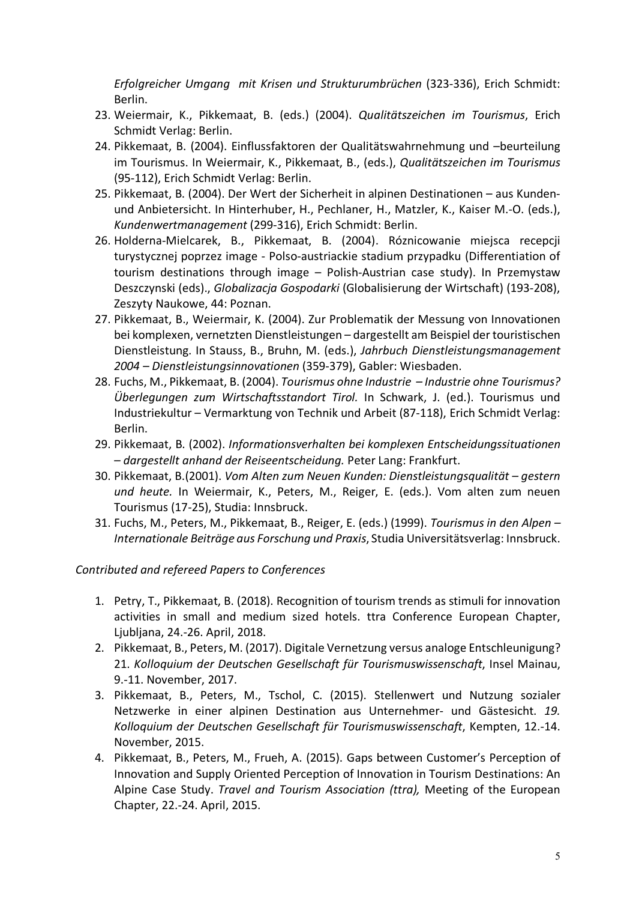*Erfolgreicher Umgang mit Krisen und Strukturumbrüchen* (323-336), Erich Schmidt: Berlin.

- 23. Weiermair, K., Pikkemaat, B. (eds.) (2004). *Qualitätszeichen im Tourismus*, Erich Schmidt Verlag: Berlin.
- 24. Pikkemaat, B. (2004). Einflussfaktoren der Qualitätswahrnehmung und –beurteilung im Tourismus. In Weiermair, K., Pikkemaat, B., (eds.), *Qualitätszeichen im Tourismus* (95-112), Erich Schmidt Verlag: Berlin.
- 25. Pikkemaat, B. (2004). Der Wert der Sicherheit in alpinen Destinationen aus Kundenund Anbietersicht. In Hinterhuber, H., Pechlaner, H., Matzler, K., Kaiser M.-O. (eds.), *Kundenwertmanagement* (299-316), Erich Schmidt: Berlin.
- 26. Holderna-Mielcarek, B., Pikkemaat, B. (2004). Róznicowanie miejsca recepcji turystycznej poprzez image - Polso-austriackie stadium przypadku (Differentiation of tourism destinations through image – Polish-Austrian case study). In Przemystaw Deszczynski (eds)., *Globalizacja Gospodarki* (Globalisierung der Wirtschaft) (193-208), Zeszyty Naukowe, 44: Poznan.
- 27. Pikkemaat, B., Weiermair, K. (2004). Zur Problematik der Messung von Innovationen bei komplexen, vernetzten Dienstleistungen – dargestellt am Beispiel der touristischen Dienstleistung. In Stauss, B., Bruhn, M. (eds.), *Jahrbuch Dienstleistungsmanagement 2004 – Dienstleistungsinnovationen* (359-379), Gabler: Wiesbaden.
- 28. Fuchs, M., Pikkemaat, B. (2004). *Tourismus ohne Industrie – Industrie ohne Tourismus? Überlegungen zum Wirtschaftsstandort Tirol.* In Schwark, J. (ed.). Tourismus und Industriekultur – Vermarktung von Technik und Arbeit (87-118), Erich Schmidt Verlag: Berlin.
- 29. Pikkemaat, B. (2002). *Informationsverhalten bei komplexen Entscheidungssituationen – dargestellt anhand der Reiseentscheidung.* Peter Lang: Frankfurt.
- 30. Pikkemaat, B.(2001). *Vom Alten zum Neuen Kunden: Dienstleistungsqualität – gestern und heute.* In Weiermair, K., Peters, M., Reiger, E. (eds.). Vom alten zum neuen Tourismus (17-25), Studia: Innsbruck.
- 31. Fuchs, M., Peters, M., Pikkemaat, B., Reiger, E. (eds.) (1999). *Tourismus in den Alpen – Internationale Beiträge aus Forschung und Praxis*, Studia Universitätsverlag: Innsbruck.

### *Contributed and refereed Papers to Conferences*

- 1. Petry, T., Pikkemaat, B. (2018). Recognition of tourism trends as stimuli for innovation activities in small and medium sized hotels. ttra Conference European Chapter, Ljubljana, 24.-26. April, 2018.
- 2. Pikkemaat, B., Peters, M. (2017). Digitale Vernetzung versus analoge Entschleunigung? 21. *Kolloquium der Deutschen Gesellschaft für Tourismuswissenschaft*, Insel Mainau, 9.-11. November, 2017.
- 3. Pikkemaat, B., Peters, M., Tschol, C. (2015). Stellenwert und Nutzung sozialer Netzwerke in einer alpinen Destination aus Unternehmer- und Gästesicht. *19. Kolloquium der Deutschen Gesellschaft für Tourismuswissenschaft*, Kempten, 12.-14. November, 2015.
- 4. Pikkemaat, B., Peters, M., Frueh, A. (2015). Gaps between Customer's Perception of Innovation and Supply Oriented Perception of Innovation in Tourism Destinations: An Alpine Case Study. *Travel and Tourism Association (ttra),* Meeting of the European Chapter, 22.-24. April, 2015.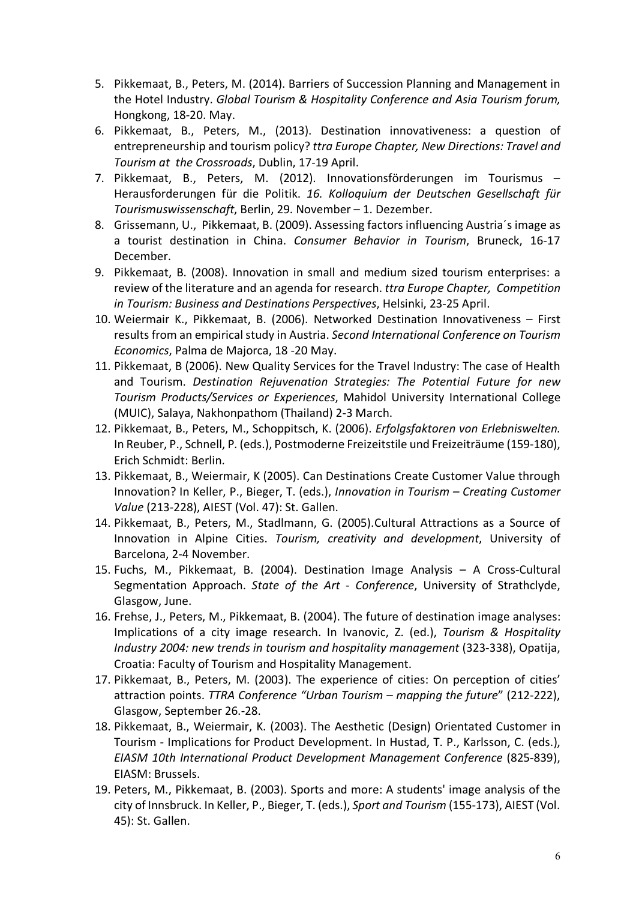- 5. Pikkemaat, B., Peters, M. (2014). Barriers of Succession Planning and Management in the Hotel Industry. *Global Tourism & Hospitality Conference and Asia Tourism forum,* Hongkong, 18-20. May.
- 6. Pikkemaat, B., Peters, M., (2013). Destination innovativeness: a question of entrepreneurship and tourism policy? *ttra Europe Chapter, New Directions: Travel and Tourism at the Crossroads*, Dublin, 17-19 April.
- 7. Pikkemaat, B., Peters, M. (2012). Innovationsförderungen im Tourismus Herausforderungen für die Politik. *16. Kolloquium der Deutschen Gesellschaft für Tourismuswissenschaft*, Berlin, 29. November – 1. Dezember.
- 8. Grissemann, U., Pikkemaat, B. (2009). Assessing factors influencing Austria´s image as a tourist destination in China. *Consumer Behavior in Tourism*, Bruneck, 16-17 December.
- 9. Pikkemaat, B. (2008). Innovation in small and medium sized tourism enterprises: a review of the literature and an agenda for research. *ttra Europe Chapter, Competition in Tourism: Business and Destinations Perspectives*, Helsinki, 23-25 April.
- 10. Weiermair K., Pikkemaat, B. (2006). Networked Destination Innovativeness First results from an empirical study in Austria. *Second International Conference on Tourism Economics*, Palma de Majorca, 18 -20 May.
- 11. Pikkemaat, B (2006). New Quality Services for the Travel Industry: The case of Health and Tourism. *Destination Rejuvenation Strategies: The Potential Future for new Tourism Products/Services or Experiences*, Mahidol University International College (MUIC), Salaya, Nakhonpathom (Thailand) 2-3 March.
- 12. Pikkemaat, B., Peters, M., Schoppitsch, K. (2006). *Erfolgsfaktoren von Erlebniswelten.* In Reuber, P., Schnell, P. (eds.), Postmoderne Freizeitstile und Freizeiträume (159-180), Erich Schmidt: Berlin.
- 13. Pikkemaat, B., Weiermair, K (2005). Can Destinations Create Customer Value through Innovation? In Keller, P., Bieger, T. (eds.), *Innovation in Tourism – Creating Customer Value* (213-228), AIEST (Vol. 47): St. Gallen.
- 14. Pikkemaat, B., Peters, M., Stadlmann, G. (2005).Cultural Attractions as a Source of Innovation in Alpine Cities. *Tourism, creativity and development*, University of Barcelona, 2-4 November.
- 15. Fuchs, M., Pikkemaat, B. (2004). Destination Image Analysis A Cross-Cultural Segmentation Approach. *State of the Art - Conference*, University of Strathclyde, Glasgow, June.
- 16. Frehse, J., Peters, M., Pikkemaat, B. (2004). The future of destination image analyses: Implications of a city image research. In Ivanovic, Z. (ed.), *Tourism & Hospitality Industry 2004: new trends in tourism and hospitality management* (323-338), Opatija, Croatia: Faculty of Tourism and Hospitality Management.
- 17. Pikkemaat, B., Peters, M. (2003). The experience of cities: On perception of cities' attraction points. *TTRA Conference "Urban Tourism – mapping the future*" (212-222), Glasgow, September 26.-28.
- 18. Pikkemaat, B., Weiermair, K. (2003). The Aesthetic (Design) Orientated Customer in Tourism - Implications for Product Development. In Hustad, T. P., Karlsson, C. (eds.), *EIASM 10th International Product Development Management Conference* (825-839), EIASM: Brussels.
- 19. Peters, M., Pikkemaat, B. (2003). Sports and more: A students' image analysis of the city of Innsbruck. In Keller, P., Bieger, T. (eds.), *Sport and Tourism* (155-173), AIEST (Vol. 45): St. Gallen.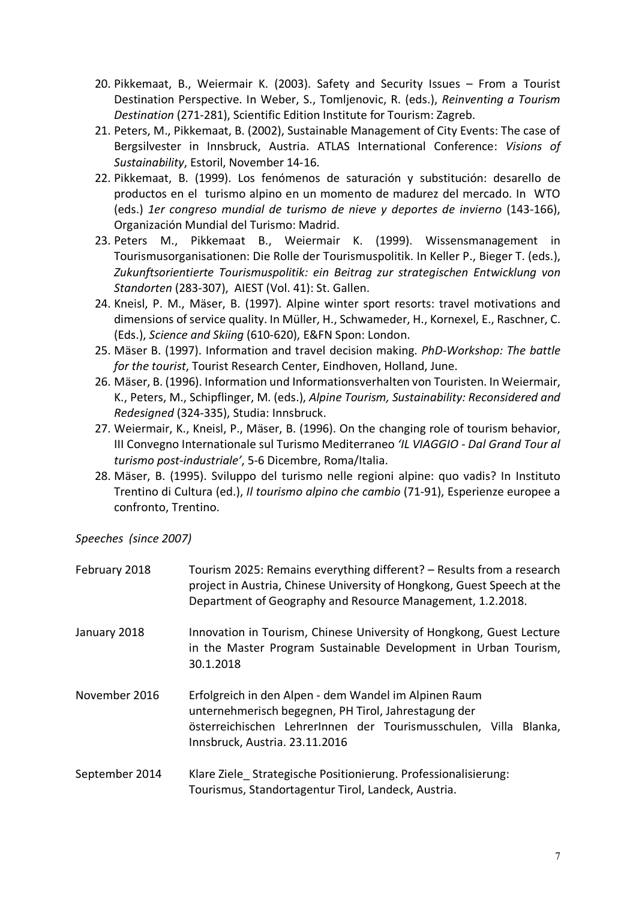- 20. Pikkemaat, B., Weiermair K. (2003). Safety and Security Issues From a Tourist Destination Perspective. In Weber, S., Tomljenovic, R. (eds.), *Reinventing a Tourism Destination* (271-281), Scientific Edition Institute for Tourism: Zagreb.
- 21. Peters, M., Pikkemaat, B. (2002), Sustainable Management of City Events: The case of Bergsilvester in Innsbruck, Austria. ATLAS International Conference: *Visions of Sustainability*, Estoril, November 14-16.
- 22. Pikkemaat, B. (1999). Los fenómenos de saturación y substitución: desarello de productos en el turismo alpino en un momento de madurez del mercado. In WTO (eds.) *1er congreso mundial de turismo de nieve y deportes de invierno* (143-166), Organización Mundial del Turismo: Madrid.
- 23. Peters M., Pikkemaat B., Weiermair K. (1999). Wissensmanagement in Tourismusorganisationen: Die Rolle der Tourismuspolitik. In Keller P., Bieger T. (eds.), *Zukunftsorientierte Tourismuspolitik: ein Beitrag zur strategischen Entwicklung von Standorten* (283-307), AIEST (Vol. 41): St. Gallen.
- 24. Kneisl, P. M., Mäser, B. (1997). Alpine winter sport resorts: travel motivations and dimensions of service quality. In Müller, H., Schwameder, H., Kornexel, E., Raschner, C. (Eds.), *Science and Skiing* (610-620), E&FN Spon: London.
- 25. Mäser B. (1997). Information and travel decision making. *PhD-Workshop: The battle for the tourist*, Tourist Research Center, Eindhoven, Holland, June.
- 26. Mäser, B. (1996). Information und Informationsverhalten von Touristen. In Weiermair, K., Peters, M., Schipflinger, M. (eds.), *Alpine Tourism, Sustainability: Reconsidered and Redesigned* (324-335), Studia: Innsbruck.
- 27. Weiermair, K., Kneisl, P., Mäser, B. (1996). On the changing role of tourism behavior, III Convegno Internationale sul Turismo Mediterraneo *'IL VIAGGIO - Dal Grand Tour al turismo post-industriale'*, 5-6 Dicembre, Roma/Italia.
- 28. Mäser, B. (1995). Sviluppo del turismo nelle regioni alpine: quo vadis? In Instituto Trentino di Cultura (ed.), *Il tourismo alpino che cambio* (71-91), Esperienze europee a confronto, Trentino.

*Speeches (since 2007)* 

| February 2018  | Tourism 2025: Remains everything different? - Results from a research<br>project in Austria, Chinese University of Hongkong, Guest Speech at the<br>Department of Geography and Resource Management, 1.2.2018.      |
|----------------|---------------------------------------------------------------------------------------------------------------------------------------------------------------------------------------------------------------------|
| January 2018   | Innovation in Tourism, Chinese University of Hongkong, Guest Lecture<br>in the Master Program Sustainable Development in Urban Tourism,<br>30.1.2018                                                                |
| November 2016  | Erfolgreich in den Alpen - dem Wandel im Alpinen Raum<br>unternehmerisch begegnen, PH Tirol, Jahrestagung der<br>österreichischen LehrerInnen der Tourismusschulen, Villa Blanka,<br>Innsbruck, Austria. 23.11.2016 |
| September 2014 | Klare Ziele Strategische Positionierung. Professionalisierung:<br>Tourismus, Standortagentur Tirol, Landeck, Austria.                                                                                               |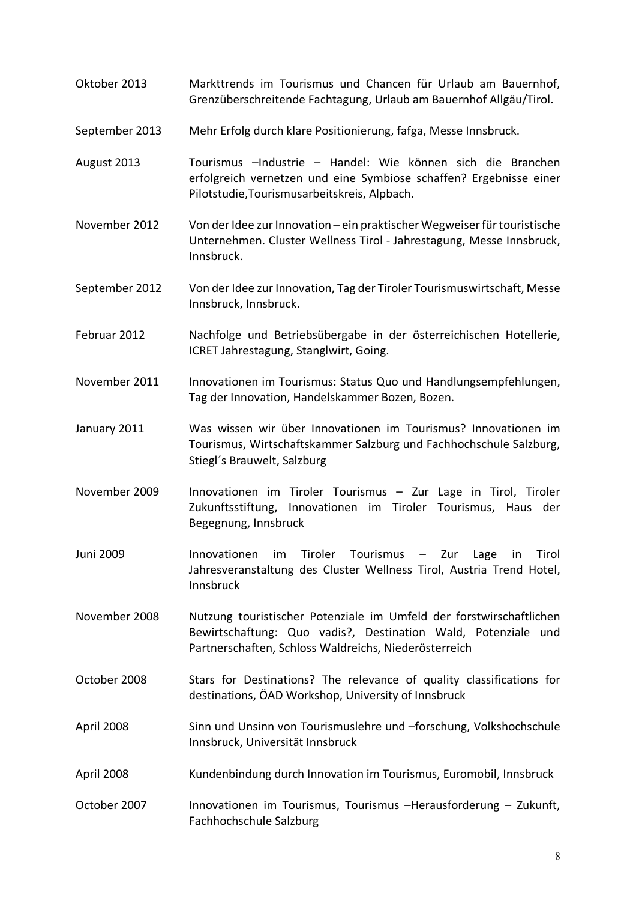- Oktober 2013 Markttrends im Tourismus und Chancen für Urlaub am Bauernhof, Grenzüberschreitende Fachtagung, Urlaub am Bauernhof Allgäu/Tirol.
- September 2013 Mehr Erfolg durch klare Positionierung, fafga, Messe Innsbruck.
- August 2013 Tourismus –Industrie Handel: Wie können sich die Branchen erfolgreich vernetzen und eine Symbiose schaffen? Ergebnisse einer Pilotstudie,Tourismusarbeitskreis, Alpbach.
- November 2012 Von der Idee zur Innovation ein praktischer Wegweiser für touristische Unternehmen. Cluster Wellness Tirol - Jahrestagung, Messe Innsbruck, Innsbruck.
- September 2012 Von der Idee zur Innovation, Tag der Tiroler Tourismuswirtschaft, Messe Innsbruck, Innsbruck.
- Februar 2012 Nachfolge und Betriebsübergabe in der österreichischen Hotellerie, ICRET Jahrestagung, Stanglwirt, Going.
- November 2011 Innovationen im Tourismus: Status Quo und Handlungsempfehlungen, Tag der Innovation, Handelskammer Bozen, Bozen.
- January 2011 Was wissen wir über Innovationen im Tourismus? Innovationen im Tourismus, Wirtschaftskammer Salzburg und Fachhochschule Salzburg, Stiegl´s Brauwelt, Salzburg
- November 2009 Innovationen im Tiroler Tourismus Zur Lage in Tirol, Tiroler Zukunftsstiftung, Innovationen im Tiroler Tourismus, Haus der Begegnung, Innsbruck
- Juni 2009 Innovationen im Tiroler Tourismus Zur Lage in Tirol Jahresveranstaltung des Cluster Wellness Tirol, Austria Trend Hotel, Innsbruck
- November 2008 Nutzung touristischer Potenziale im Umfeld der forstwirschaftlichen Bewirtschaftung: Quo vadis?, Destination Wald, Potenziale und Partnerschaften, Schloss Waldreichs, Niederösterreich
- October 2008 Stars for Destinations? The relevance of quality classifications for destinations, ÖAD Workshop, University of Innsbruck
- April 2008 Sinn und Unsinn von Tourismuslehre und –forschung, Volkshochschule Innsbruck, Universität Innsbruck
- April 2008 Kundenbindung durch Innovation im Tourismus, Euromobil, Innsbruck
- October 2007 Innovationen im Tourismus, Tourismus -Herausforderung Zukunft, Fachhochschule Salzburg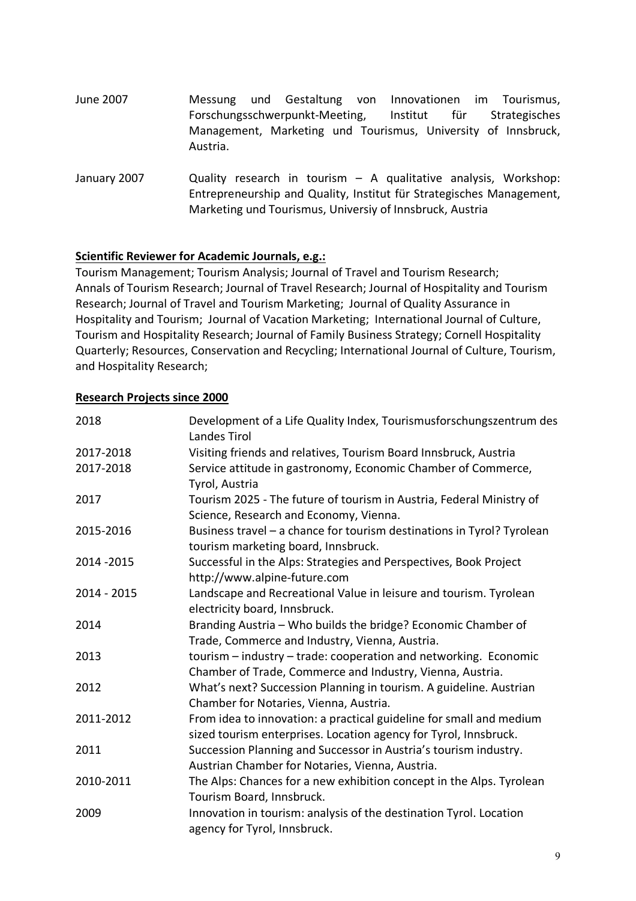- June 2007 Messung und Gestaltung von Innovationen im Tourismus, Forschungsschwerpunkt-Meeting, Institut für Strategisches Management, Marketing und Tourismus, University of Innsbruck, Austria.
- January 2007 Quality research in tourism A qualitative analysis, Workshop: Entrepreneurship and Quality, Institut für Strategisches Management, Marketing und Tourismus, Universiy of Innsbruck, Austria

### **Scientific Reviewer for Academic Journals, e.g.:**

Tourism Management; Tourism Analysis; Journal of Travel and Tourism Research; Annals of Tourism Research; Journal of Travel Research; Journal of Hospitality and Tourism Research; Journal of Travel and Tourism Marketing; Journal of Quality Assurance in Hospitality and Tourism; Journal of Vacation Marketing; International Journal of Culture, Tourism and Hospitality Research; Journal of Family Business Strategy; Cornell Hospitality Quarterly; Resources, Conservation and Recycling; International Journal of Culture, Tourism, and Hospitality Research;

#### **Research Projects since 2000**

| 2018        | Development of a Life Quality Index, Tourismusforschungszentrum des<br>Landes Tirol                                                     |
|-------------|-----------------------------------------------------------------------------------------------------------------------------------------|
| 2017-2018   | Visiting friends and relatives, Tourism Board Innsbruck, Austria                                                                        |
| 2017-2018   | Service attitude in gastronomy, Economic Chamber of Commerce,<br>Tyrol, Austria                                                         |
| 2017        | Tourism 2025 - The future of tourism in Austria, Federal Ministry of<br>Science, Research and Economy, Vienna.                          |
| 2015-2016   | Business travel - a chance for tourism destinations in Tyrol? Tyrolean<br>tourism marketing board, Innsbruck.                           |
| 2014 - 2015 | Successful in the Alps: Strategies and Perspectives, Book Project<br>http://www.alpine-future.com                                       |
| 2014 - 2015 | Landscape and Recreational Value in leisure and tourism. Tyrolean<br>electricity board, Innsbruck.                                      |
| 2014        | Branding Austria - Who builds the bridge? Economic Chamber of<br>Trade, Commerce and Industry, Vienna, Austria.                         |
| 2013        | tourism - industry - trade: cooperation and networking. Economic<br>Chamber of Trade, Commerce and Industry, Vienna, Austria.           |
| 2012        | What's next? Succession Planning in tourism. A guideline. Austrian<br>Chamber for Notaries, Vienna, Austria.                            |
| 2011-2012   | From idea to innovation: a practical guideline for small and medium<br>sized tourism enterprises. Location agency for Tyrol, Innsbruck. |
| 2011        | Succession Planning and Successor in Austria's tourism industry.<br>Austrian Chamber for Notaries, Vienna, Austria.                     |
| 2010-2011   | The Alps: Chances for a new exhibition concept in the Alps. Tyrolean<br>Tourism Board, Innsbruck.                                       |
| 2009        | Innovation in tourism: analysis of the destination Tyrol. Location<br>agency for Tyrol, Innsbruck.                                      |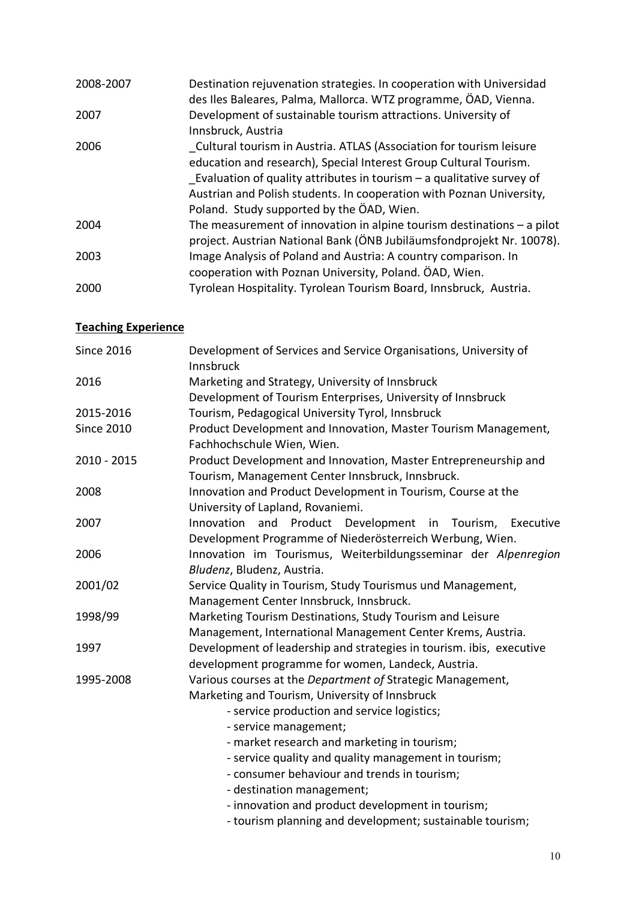| 2008-2007 | Destination rejuvenation strategies. In cooperation with Universidad<br>des Iles Baleares, Palma, Mallorca. WTZ programme, ÖAD, Vienna.                                                                                                                                                                                                  |
|-----------|------------------------------------------------------------------------------------------------------------------------------------------------------------------------------------------------------------------------------------------------------------------------------------------------------------------------------------------|
| 2007      | Development of sustainable tourism attractions. University of<br>Innsbruck, Austria                                                                                                                                                                                                                                                      |
| 2006      | Cultural tourism in Austria. ATLAS (Association for tourism leisure<br>education and research), Special Interest Group Cultural Tourism.<br>Evaluation of quality attributes in tourism $-$ a qualitative survey of<br>Austrian and Polish students. In cooperation with Poznan University,<br>Poland. Study supported by the ÖAD, Wien. |
| 2004      | The measurement of innovation in alpine tourism destinations $-$ a pilot<br>project. Austrian National Bank (ÖNB Jubiläumsfondprojekt Nr. 10078).                                                                                                                                                                                        |
| 2003      | Image Analysis of Poland and Austria: A country comparison. In<br>cooperation with Poznan University, Poland. ÖAD, Wien.                                                                                                                                                                                                                 |
| 2000      | Tyrolean Hospitality. Tyrolean Tourism Board, Innsbruck, Austria.                                                                                                                                                                                                                                                                        |

# **Teaching Experience**

| <b>Since 2016</b> | Development of Services and Service Organisations, University of<br>Innsbruck |
|-------------------|-------------------------------------------------------------------------------|
| 2016              | Marketing and Strategy, University of Innsbruck                               |
|                   | Development of Tourism Enterprises, University of Innsbruck                   |
| 2015-2016         | Tourism, Pedagogical University Tyrol, Innsbruck                              |
| <b>Since 2010</b> | Product Development and Innovation, Master Tourism Management,                |
|                   | Fachhochschule Wien, Wien.                                                    |
| 2010 - 2015       | Product Development and Innovation, Master Entrepreneurship and               |
|                   | Tourism, Management Center Innsbruck, Innsbruck.                              |
| 2008              | Innovation and Product Development in Tourism, Course at the                  |
|                   | University of Lapland, Rovaniemi.                                             |
| 2007              | Product<br>Development<br>Innovation<br>and<br>Tourism,<br>in<br>Executive    |
|                   | Development Programme of Niederösterreich Werbung, Wien.                      |
| 2006              | Innovation im Tourismus, Weiterbildungsseminar der Alpenregion                |
|                   | Bludenz, Bludenz, Austria.                                                    |
| 2001/02           | Service Quality in Tourism, Study Tourismus und Management,                   |
|                   | Management Center Innsbruck, Innsbruck.                                       |
| 1998/99           | Marketing Tourism Destinations, Study Tourism and Leisure                     |
|                   | Management, International Management Center Krems, Austria.                   |
| 1997              | Development of leadership and strategies in tourism. ibis, executive          |
|                   | development programme for women, Landeck, Austria.                            |
| 1995-2008         | Various courses at the Department of Strategic Management,                    |
|                   | Marketing and Tourism, University of Innsbruck                                |
|                   | - service production and service logistics;                                   |
|                   | - service management;                                                         |
|                   | - market research and marketing in tourism;                                   |
|                   | - service quality and quality management in tourism;                          |
|                   | - consumer behaviour and trends in tourism;                                   |
|                   | - destination management;                                                     |
|                   | - innovation and product development in tourism;                              |
|                   | - tourism planning and development; sustainable tourism;                      |